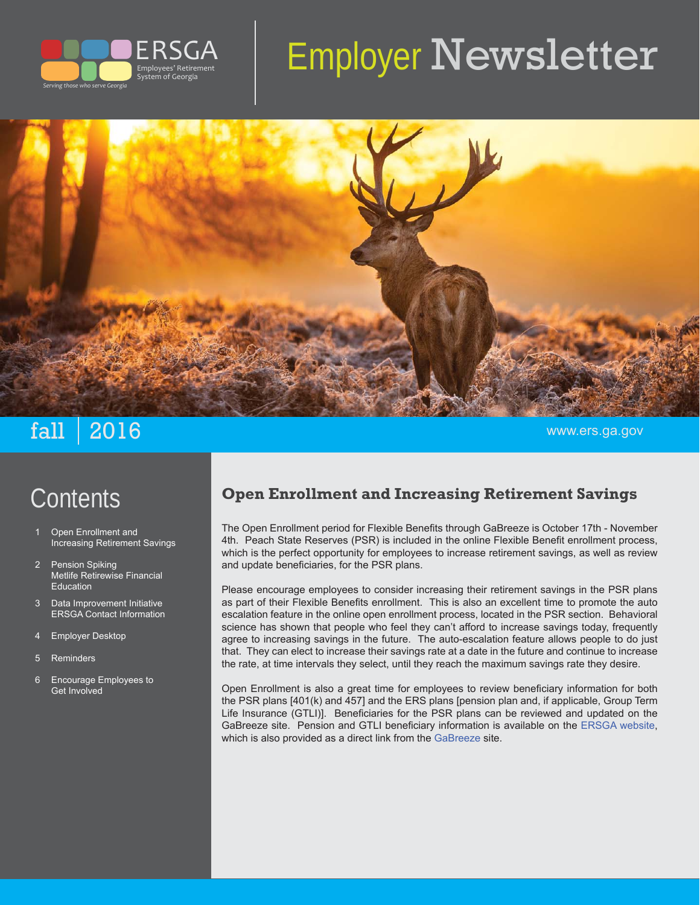

# Employer Newsletter



# $\mathbf{fall} \parallel \mathbf{2016}$  . The contract of the contract of the contract of the contract of the contract of the contract of the contract of the contract of the contract of the contract of the contract of the contract of the con

# **Contents**

- Open Enrollment and Increasing Retirement Savings
- 2 Pension Spiking Metlife Retirewise Financial Education
- 3 Data Improvement Initiative ERSGA Contact Information
- 4 Employer Desktop
- 5 Reminders
- 6 Encourage Employees to Get Involved

# **Open Enrollment and Increasing Retirement Savings**

The Open Enrollment period for Flexible Benefits through GaBreeze is October 17th - November 4th. Peach State Reserves (PSR) is included in the online Flexible Benefit enrollment process, which is the perfect opportunity for employees to increase retirement savings, as well as review and update beneficiaries, for the PSR plans.

Please encourage employees to consider increasing their retirement savings in the PSR plans as part of their Flexible Benefits enrollment. This is also an excellent time to promote the auto escalation feature in the online open enrollment process, located in the PSR section. Behavioral science has shown that people who feel they can't afford to increase savings today, frequently agree to increasing savings in the future. The auto-escalation feature allows people to do just that. They can elect to increase their savings rate at a date in the future and continue to increase the rate, at time intervals they select, until they reach the maximum savings rate they desire.

Open Enrollment is also a great time for employees to review beneficiary information for both the PSR plans [401(k) and 457] and the ERS plans [pension plan and, if applicable, Group Term Life Insurance (GTLI)]. Beneficiaries for the PSR plans can be reviewed and updated on the GaBreeze site. Pension and GTLI beneficiary information is available on the ERSGA website, which is also provided as a direct link from the GaBreeze site.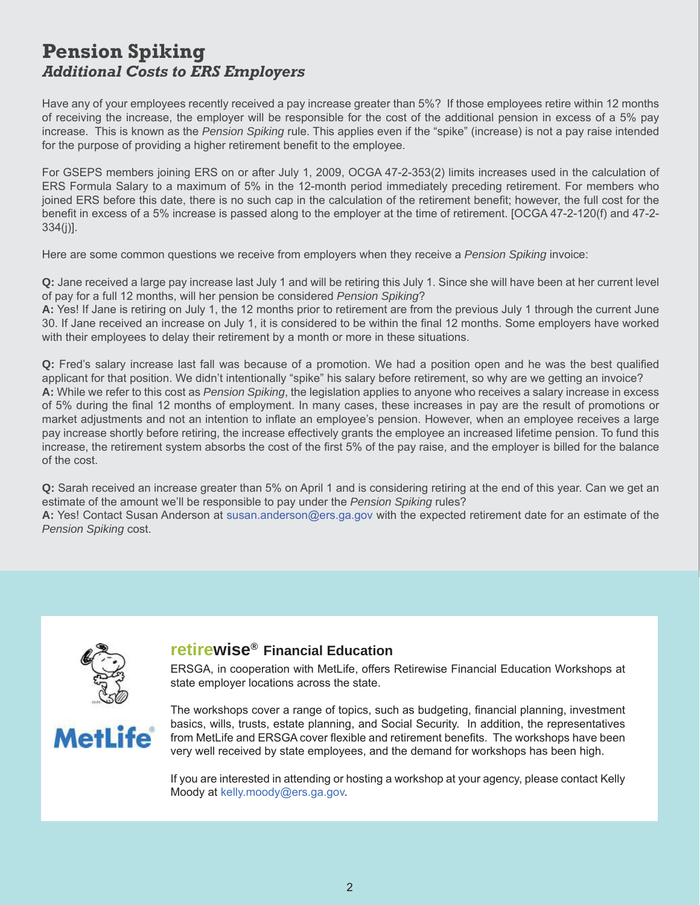## **Pension Spiking** *Additional Costs to ERS Employers*

Have any of your employees recently received a pay increase greater than 5%? If those employees retire within 12 months of receiving the increase, the employer will be responsible for the cost of the additional pension in excess of a 5% pay increase. This is known as the *Pension Spiking* rule. This applies even if the "spike" (increase) is not a pay raise intended for the purpose of providing a higher retirement benefit to the employee.

For GSEPS members joining ERS on or after July 1, 2009, OCGA 47-2-353(2) limits increases used in the calculation of ERS Formula Salary to a maximum of 5% in the 12-month period immediately preceding retirement. For members who joined ERS before this date, there is no such cap in the calculation of the retirement benefit; however, the full cost for the benefit in excess of a 5% increase is passed along to the employer at the time of retirement. [OCGA 47-2-120(f) and 47-2-334(j)].

Here are some common questions we receive from employers when they receive a *Pension Spiking* invoice:

**Q:** Jane received a large pay increase last July 1 and will be retiring this July 1. Since she will have been at her current level of pay for a full 12 months, will her pension be considered *Pension Spiking*?

**A:** Yes! If Jane is retiring on July 1, the 12 months prior to retirement are from the previous July 1 through the current June 30. If Jane received an increase on July 1, it is considered to be within the final 12 months. Some employers have worked with their employees to delay their retirement by a month or more in these situations.

**Q:** Fred's salary increase last fall was because of a promotion. We had a position open and he was the best qualified applicant for that position. We didn't intentionally "spike" his salary before retirement, so why are we getting an invoice? **A:** While we refer to this cost as *Pension Spiking*, the legislation applies to anyone who receives a salary increase in excess of 5% during the final 12 months of employment. In many cases, these increases in pay are the result of promotions or market adjustments and not an intention to inflate an employee's pension. However, when an employee receives a large pay increase shortly before retiring, the increase effectively grants the employee an increased lifetime pension. To fund this increase, the retirement system absorbs the cost of the first 5% of the pay raise, and the employer is billed for the balance of the cost.

**Q:** Sarah received an increase greater than 5% on April 1 and is considering retiring at the end of this year. Can we get an estimate of the amount we'll be responsible to pay under the *Pension Spiking* rules?

**A:** Yes! Contact Susan Anderson at susan.anderson@ers.ga.gov with the expected retirement date for an estimate of the *Pension Spiking* cost.



#### **retirewise® Financial Education**

ERSGA, in cooperation with MetLife, offers Retirewise Financial Education Workshops at state employer locations across the state.



The workshops cover a range of topics, such as budgeting, financial planning, investment basics, wills, trusts, estate planning, and Social Security. In addition, the representatives from MetLife and ERSGA cover flexible and retirement benefits. The workshops have been very well received by state employees, and the demand for workshops has been high.

If you are interested in attending or hosting a workshop at your agency, please contact Kelly Moody at kelly.moody@ers.ga.gov.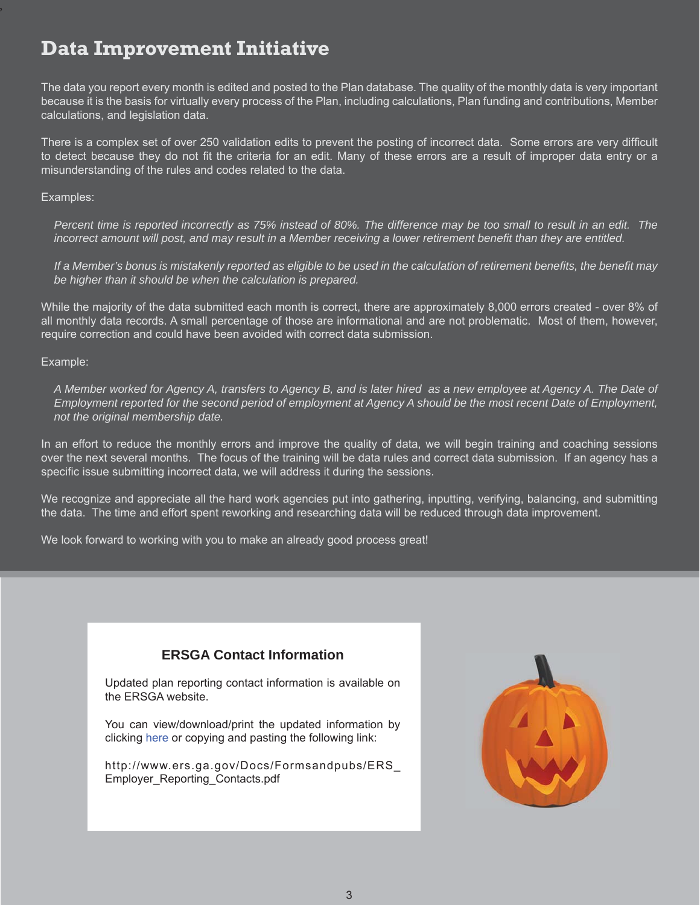# **Data Improvement Initiative**

The data you report every month is edited and posted to the Plan database. The quality of the monthly data is very important because it is the basis for virtually every process of the Plan, including calculations, Plan funding and contributions, Member calculations, and legislation data.

There is a complex set of over 250 validation edits to prevent the posting of incorrect data. Some errors are very difficult to detect because they do not fit the criteria for an edit. Many of these errors are a result of improper data entry or a misunderstanding of the rules and codes related to the data.

#### Examples:

*Percent time is reported incorrectly as 75% instead of 80%. The difference may be too small to result in an edit. The incorrect amount will post, and may result in a Member receiving a lower retirement benefit than they are entitled.* 

*If a Member's bonus is mistakenly reported as eligible to be used in the calculation of retirement benefits, the benefit may be higher than it should be when the calculation is prepared.* 

While the majority of the data submitted each month is correct, there are approximately 8,000 errors created - over 8% of all monthly data records. A small percentage of those are informational and are not problematic. Most of them, however, require correction and could have been avoided with correct data submission.

#### Example:

*A Member worked for Agency A, transfers to Agency B, and is later hired as a new employee at Agency A. The Date of Employment reported for the second period of employment at Agency A should be the most recent Date of Employment, not the original membership date.* 

In an effort to reduce the monthly errors and improve the quality of data, we will begin training and coaching sessions over the next several months. The focus of the training will be data rules and correct data submission. If an agency has a specific issue submitting incorrect data, we will address it during the sessions.

We recognize and appreciate all the hard work agencies put into gathering, inputting, verifying, balancing, and submitting the data. The time and effort spent reworking and researching data will be reduced through data improvement.

We look forward to working with you to make an already good process great!

#### **ERSGA Contact Information**

Updated plan reporting contact information is available on the ERSGA website.

You can view/download/print the updated information by clicking here or copying and pasting the following link:

http://www.ers.ga.gov/Docs/Formsandpubs/ERS\_ Employer\_Reporting\_Contacts.pdf

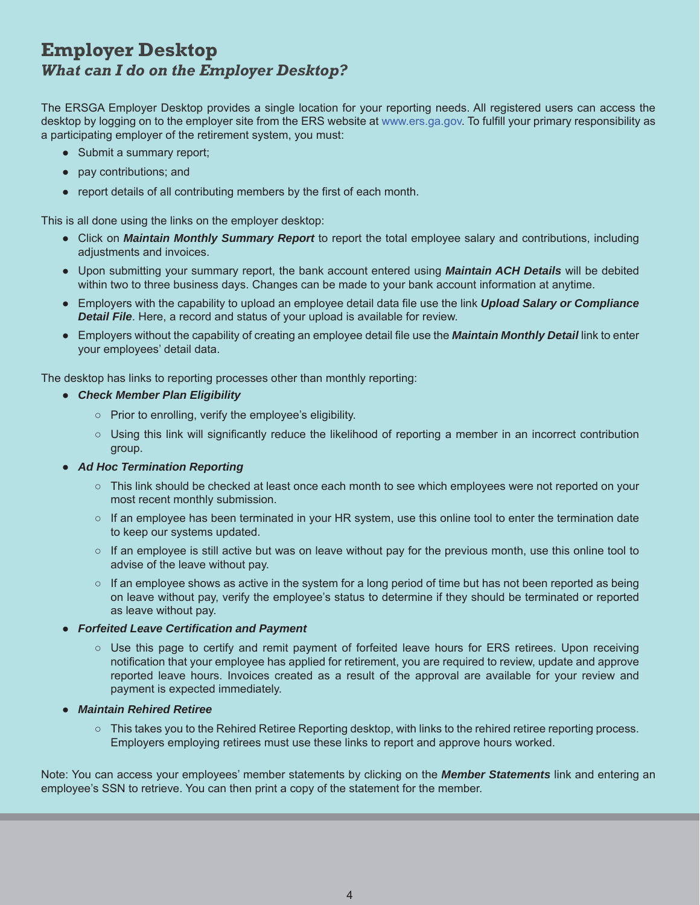### **Employer Desktop** *What can I do on the Employer Desktop?*

The ERSGA Employer Desktop provides a single location for your reporting needs. All registered users can access the desktop by logging on to the employer site from the ERS website at www.ers.ga.gov. To fulfill your primary responsibility as a participating employer of the retirement system, you must:

- Submit a summary report;
- pay contributions; and
- report details of all contributing members by the first of each month.

This is all done using the links on the employer desktop:

- Click on *Maintain Monthly Summary Report* to report the total employee salary and contributions, including adjustments and invoices.
- Upon submitting your summary report, the bank account entered using *Maintain ACH Details* will be debited within two to three business days. Changes can be made to your bank account information at anytime.
- Employers with the capability to upload an employee detail data file use the link *Upload Salary or Compliance Detail File*. Here, a record and status of your upload is available for review.
- Employers without the capability of creating an employee detail file use the **Maintain Monthly Detail** link to enter your employees' detail data.

The desktop has links to reporting processes other than monthly reporting:

- *Check Member Plan Eligibility*
	- Prior to enrolling, verify the employee's eligibility.
	- Using this link will significantly reduce the likelihood of reporting a member in an incorrect contribution group.
- *Ad Hoc Termination Reporting*
	- This link should be checked at least once each month to see which employees were not reported on your most recent monthly submission.
	- If an employee has been terminated in your HR system, use this online tool to enter the termination date to keep our systems updated.
	- If an employee is still active but was on leave without pay for the previous month, use this online tool to advise of the leave without pay.
	- o If an employee shows as active in the system for a long period of time but has not been reported as being on leave without pay, verify the employee's status to determine if they should be terminated or reported as leave without pay.
- *Forfeited Leave Certification and Payment* 
	- Use this page to certify and remit payment of forfeited leave hours for ERS retirees. Upon receiving notification that your employee has applied for retirement, you are required to review, update and approve reported leave hours. Invoices created as a result of the approval are available for your review and payment is expected immediately.
- *Maintain Rehired Retiree*
	- This takes you to the Rehired Retiree Reporting desktop, with links to the rehired retiree reporting process. Employers employing retirees must use these links to report and approve hours worked.

Note: You can access your employees' member statements by clicking on the *Member Statements* link and entering an employee's SSN to retrieve. You can then print a copy of the statement for the member.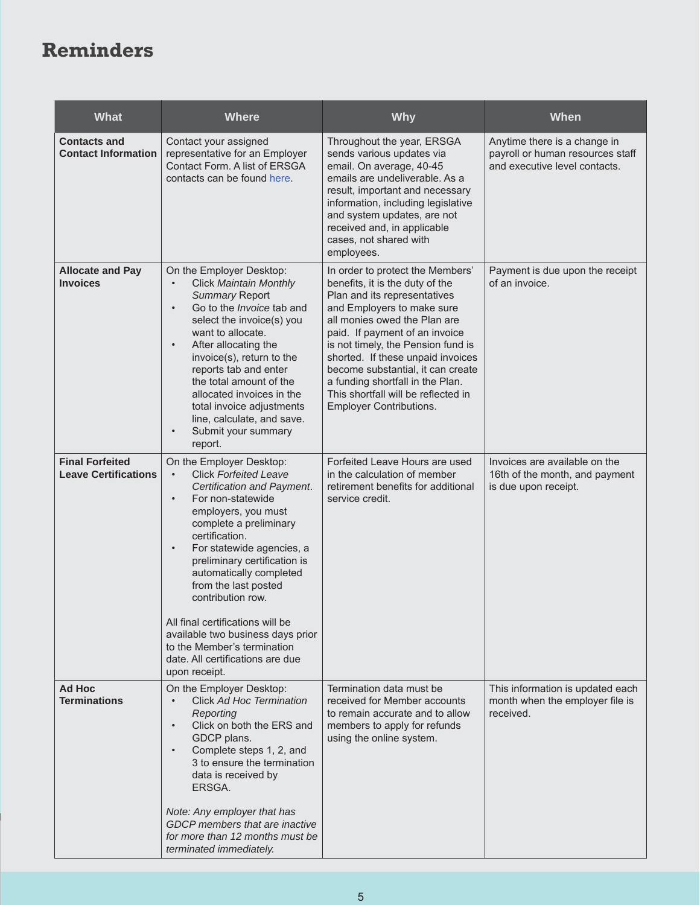# **Reminders**

| <b>What</b>                                           | <b>Where</b>                                                                                                                                                                                                                                                                                                                                                                                                                                                                                                            | <b>Why</b>                                                                                                                                                                                                                                                                                                                                                                                                                       | When                                                                                              |
|-------------------------------------------------------|-------------------------------------------------------------------------------------------------------------------------------------------------------------------------------------------------------------------------------------------------------------------------------------------------------------------------------------------------------------------------------------------------------------------------------------------------------------------------------------------------------------------------|----------------------------------------------------------------------------------------------------------------------------------------------------------------------------------------------------------------------------------------------------------------------------------------------------------------------------------------------------------------------------------------------------------------------------------|---------------------------------------------------------------------------------------------------|
| <b>Contacts and</b><br><b>Contact Information</b>     | Contact your assigned<br>representative for an Employer<br>Contact Form. A list of ERSGA<br>contacts can be found here.                                                                                                                                                                                                                                                                                                                                                                                                 | Throughout the year, ERSGA<br>sends various updates via<br>email. On average, 40-45<br>emails are undeliverable. As a<br>result, important and necessary<br>information, including legislative<br>and system updates, are not<br>received and, in applicable<br>cases, not shared with<br>employees.                                                                                                                             | Anytime there is a change in<br>payroll or human resources staff<br>and executive level contacts. |
| <b>Allocate and Pay</b><br><b>Invoices</b>            | On the Employer Desktop:<br><b>Click Maintain Monthly</b><br><b>Summary Report</b><br>Go to the Invoice tab and<br>$\bullet$<br>select the invoice(s) you<br>want to allocate.<br>After allocating the<br>$\bullet$<br>invoice(s), return to the<br>reports tab and enter<br>the total amount of the<br>allocated invoices in the<br>total invoice adjustments<br>line, calculate, and save.<br>Submit your summary<br>$\bullet$<br>report.                                                                             | In order to protect the Members'<br>benefits, it is the duty of the<br>Plan and its representatives<br>and Employers to make sure<br>all monies owed the Plan are<br>paid. If payment of an invoice<br>is not timely, the Pension fund is<br>shorted. If these unpaid invoices<br>become substantial, it can create<br>a funding shortfall in the Plan.<br>This shortfall will be reflected in<br><b>Employer Contributions.</b> | Payment is due upon the receipt<br>of an invoice.                                                 |
| <b>Final Forfeited</b><br><b>Leave Certifications</b> | On the Employer Desktop:<br><b>Click Forfeited Leave</b><br>$\bullet$<br>Certification and Payment.<br>For non-statewide<br>$\bullet$<br>employers, you must<br>complete a preliminary<br>certification.<br>For statewide agencies, a<br>$\bullet$<br>preliminary certification is<br>automatically completed<br>from the last posted<br>contribution row.<br>All final certifications will be<br>available two business days prior<br>to the Member's termination<br>date. All certifications are due<br>upon receipt. | Forfeited Leave Hours are used<br>in the calculation of member<br>retirement benefits for additional<br>service credit.                                                                                                                                                                                                                                                                                                          | Invoices are available on the<br>16th of the month, and payment<br>is due upon receipt.           |
| Ad Hoc<br><b>Terminations</b>                         | On the Employer Desktop:<br>Click Ad Hoc Termination<br>$\bullet$<br>Reporting<br>Click on both the ERS and<br>$\bullet$<br>GDCP plans.<br>Complete steps 1, 2, and<br>$\bullet$<br>3 to ensure the termination<br>data is received by<br>ERSGA.<br>Note: Any employer that has<br>GDCP members that are inactive<br>for more than 12 months must be<br>terminated immediately.                                                                                                                                         | Termination data must be<br>received for Member accounts<br>to remain accurate and to allow<br>members to apply for refunds<br>using the online system.                                                                                                                                                                                                                                                                          | This information is updated each<br>month when the employer file is<br>received.                  |